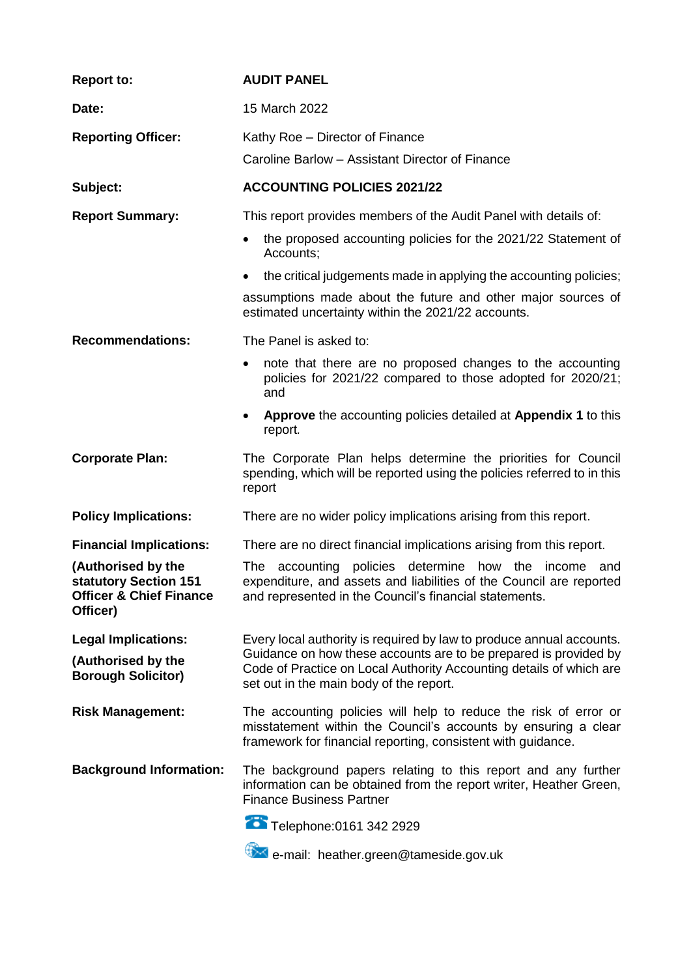| <b>Report to:</b>                                                                             | <b>AUDIT PANEL</b>                                                                                                                                                                                                                                         |
|-----------------------------------------------------------------------------------------------|------------------------------------------------------------------------------------------------------------------------------------------------------------------------------------------------------------------------------------------------------------|
| Date:                                                                                         | 15 March 2022                                                                                                                                                                                                                                              |
| <b>Reporting Officer:</b>                                                                     | Kathy Roe - Director of Finance                                                                                                                                                                                                                            |
|                                                                                               | Caroline Barlow - Assistant Director of Finance                                                                                                                                                                                                            |
| Subject:                                                                                      | <b>ACCOUNTING POLICIES 2021/22</b>                                                                                                                                                                                                                         |
| <b>Report Summary:</b>                                                                        | This report provides members of the Audit Panel with details of:                                                                                                                                                                                           |
|                                                                                               | the proposed accounting policies for the 2021/22 Statement of<br>Accounts;                                                                                                                                                                                 |
|                                                                                               | the critical judgements made in applying the accounting policies;<br>$\bullet$                                                                                                                                                                             |
|                                                                                               | assumptions made about the future and other major sources of<br>estimated uncertainty within the 2021/22 accounts.                                                                                                                                         |
| <b>Recommendations:</b>                                                                       | The Panel is asked to:                                                                                                                                                                                                                                     |
|                                                                                               | note that there are no proposed changes to the accounting<br>$\bullet$<br>policies for 2021/22 compared to those adopted for 2020/21;<br>and                                                                                                               |
|                                                                                               | Approve the accounting policies detailed at Appendix 1 to this<br>$\bullet$<br>report.                                                                                                                                                                     |
| <b>Corporate Plan:</b>                                                                        | The Corporate Plan helps determine the priorities for Council<br>spending, which will be reported using the policies referred to in this<br>report                                                                                                         |
| <b>Policy Implications:</b>                                                                   | There are no wider policy implications arising from this report.                                                                                                                                                                                           |
| <b>Financial Implications:</b>                                                                | There are no direct financial implications arising from this report.                                                                                                                                                                                       |
| (Authorised by the<br>statutory Section 151<br><b>Officer &amp; Chief Finance</b><br>Officer) | The accounting<br>policies determine<br>how the<br>income<br>and<br>expenditure, and assets and liabilities of the Council are reported<br>and represented in the Council's financial statements.                                                          |
| <b>Legal Implications:</b><br>(Authorised by the<br><b>Borough Solicitor)</b>                 | Every local authority is required by law to produce annual accounts.<br>Guidance on how these accounts are to be prepared is provided by<br>Code of Practice on Local Authority Accounting details of which are<br>set out in the main body of the report. |
| <b>Risk Management:</b>                                                                       | The accounting policies will help to reduce the risk of error or<br>misstatement within the Council's accounts by ensuring a clear<br>framework for financial reporting, consistent with guidance.                                                         |
| <b>Background Information:</b>                                                                | The background papers relating to this report and any further<br>information can be obtained from the report writer, Heather Green,<br><b>Finance Business Partner</b>                                                                                     |
|                                                                                               | Telephone: 0161 342 2929                                                                                                                                                                                                                                   |
|                                                                                               | <sup>#</sup> <sup>★★★</sup> e-mail: heather.green@tameside.gov.uk                                                                                                                                                                                          |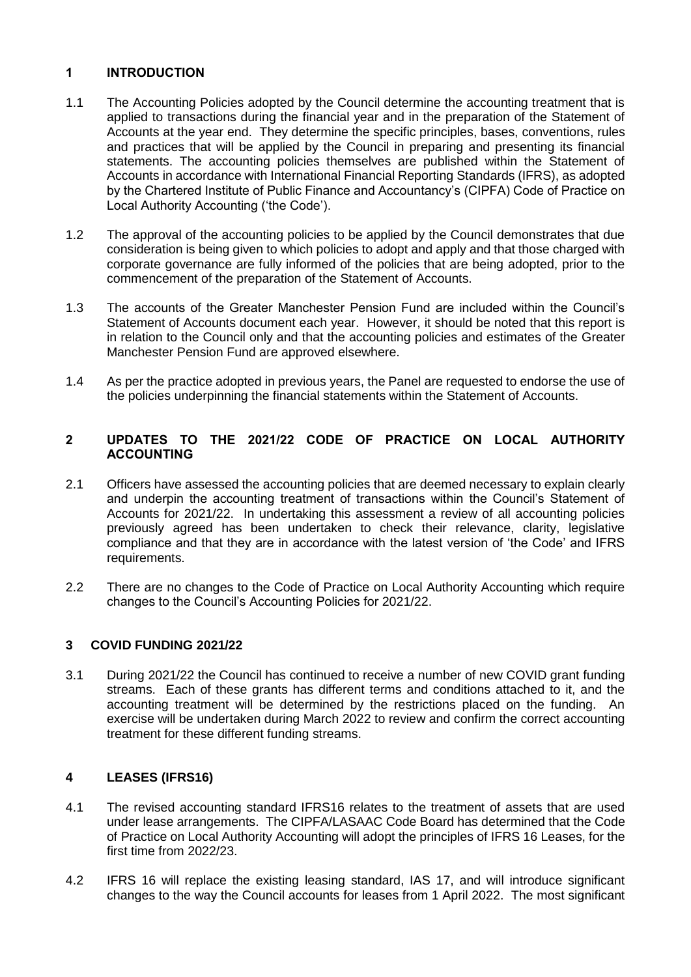# **1 INTRODUCTION**

- 1.1 The Accounting Policies adopted by the Council determine the accounting treatment that is applied to transactions during the financial year and in the preparation of the Statement of Accounts at the year end. They determine the specific principles, bases, conventions, rules and practices that will be applied by the Council in preparing and presenting its financial statements. The accounting policies themselves are published within the Statement of Accounts in accordance with International Financial Reporting Standards (IFRS), as adopted by the Chartered Institute of Public Finance and Accountancy's (CIPFA) Code of Practice on Local Authority Accounting ('the Code').
- 1.2 The approval of the accounting policies to be applied by the Council demonstrates that due consideration is being given to which policies to adopt and apply and that those charged with corporate governance are fully informed of the policies that are being adopted, prior to the commencement of the preparation of the Statement of Accounts.
- 1.3 The accounts of the Greater Manchester Pension Fund are included within the Council's Statement of Accounts document each year. However, it should be noted that this report is in relation to the Council only and that the accounting policies and estimates of the Greater Manchester Pension Fund are approved elsewhere.
- 1.4 As per the practice adopted in previous years, the Panel are requested to endorse the use of the policies underpinning the financial statements within the Statement of Accounts.

# **2 UPDATES TO THE 2021/22 CODE OF PRACTICE ON LOCAL AUTHORITY ACCOUNTING**

- 2.1 Officers have assessed the accounting policies that are deemed necessary to explain clearly and underpin the accounting treatment of transactions within the Council's Statement of Accounts for 2021/22. In undertaking this assessment a review of all accounting policies previously agreed has been undertaken to check their relevance, clarity, legislative compliance and that they are in accordance with the latest version of 'the Code' and IFRS requirements.
- 2.2 There are no changes to the Code of Practice on Local Authority Accounting which require changes to the Council's Accounting Policies for 2021/22.

## **3 COVID FUNDING 2021/22**

3.1 During 2021/22 the Council has continued to receive a number of new COVID grant funding streams. Each of these grants has different terms and conditions attached to it, and the accounting treatment will be determined by the restrictions placed on the funding. An exercise will be undertaken during March 2022 to review and confirm the correct accounting treatment for these different funding streams.

## **4 LEASES (IFRS16)**

- 4.1 The revised accounting standard IFRS16 relates to the treatment of assets that are used under lease arrangements. The CIPFA/LASAAC Code Board has determined that the Code of Practice on Local Authority Accounting will adopt the principles of IFRS 16 Leases, for the first time from 2022/23.
- 4.2 IFRS 16 will replace the existing leasing standard, IAS 17, and will introduce significant changes to the way the Council accounts for leases from 1 April 2022. The most significant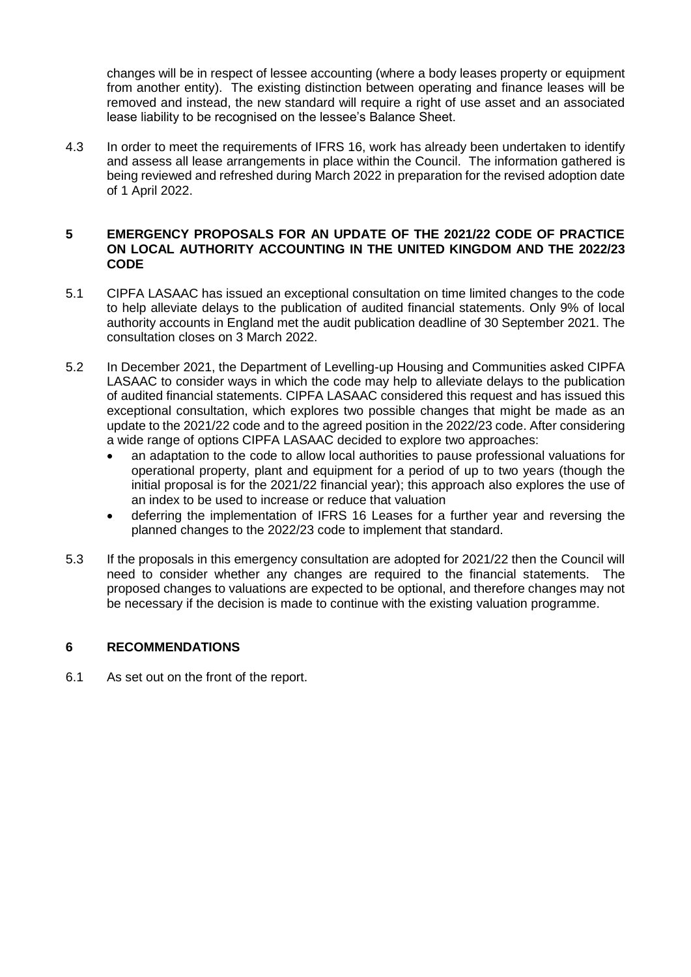changes will be in respect of lessee accounting (where a body leases property or equipment from another entity). The existing distinction between operating and finance leases will be removed and instead, the new standard will require a right of use asset and an associated lease liability to be recognised on the lessee's Balance Sheet.

4.3 In order to meet the requirements of IFRS 16, work has already been undertaken to identify and assess all lease arrangements in place within the Council. The information gathered is being reviewed and refreshed during March 2022 in preparation for the revised adoption date of 1 April 2022.

## **5 EMERGENCY PROPOSALS FOR AN UPDATE OF THE 2021/22 CODE OF PRACTICE ON LOCAL AUTHORITY ACCOUNTING IN THE UNITED KINGDOM AND THE 2022/23 CODE**

- 5.1 CIPFA LASAAC has issued an exceptional consultation on time limited changes to the code to help alleviate delays to the publication of audited financial statements. Only 9% of local authority accounts in England met the audit publication deadline of 30 September 2021. The consultation closes on 3 March 2022.
- 5.2 In December 2021, the Department of Levelling-up Housing and Communities asked CIPFA LASAAC to consider ways in which the code may help to alleviate delays to the publication of audited financial statements. CIPFA LASAAC considered this request and has issued this exceptional consultation, which explores two possible changes that might be made as an update to the 2021/22 code and to the agreed position in the 2022/23 code. After considering a wide range of options CIPFA LASAAC decided to explore two approaches:
	- an adaptation to the code to allow local authorities to pause professional valuations for operational property, plant and equipment for a period of up to two years (though the initial proposal is for the 2021/22 financial year); this approach also explores the use of an index to be used to increase or reduce that valuation
	- deferring the implementation of IFRS 16 Leases for a further year and reversing the planned changes to the 2022/23 code to implement that standard.
- 5.3 If the proposals in this emergency consultation are adopted for 2021/22 then the Council will need to consider whether any changes are required to the financial statements. The proposed changes to valuations are expected to be optional, and therefore changes may not be necessary if the decision is made to continue with the existing valuation programme.

## **6 RECOMMENDATIONS**

6.1 As set out on the front of the report.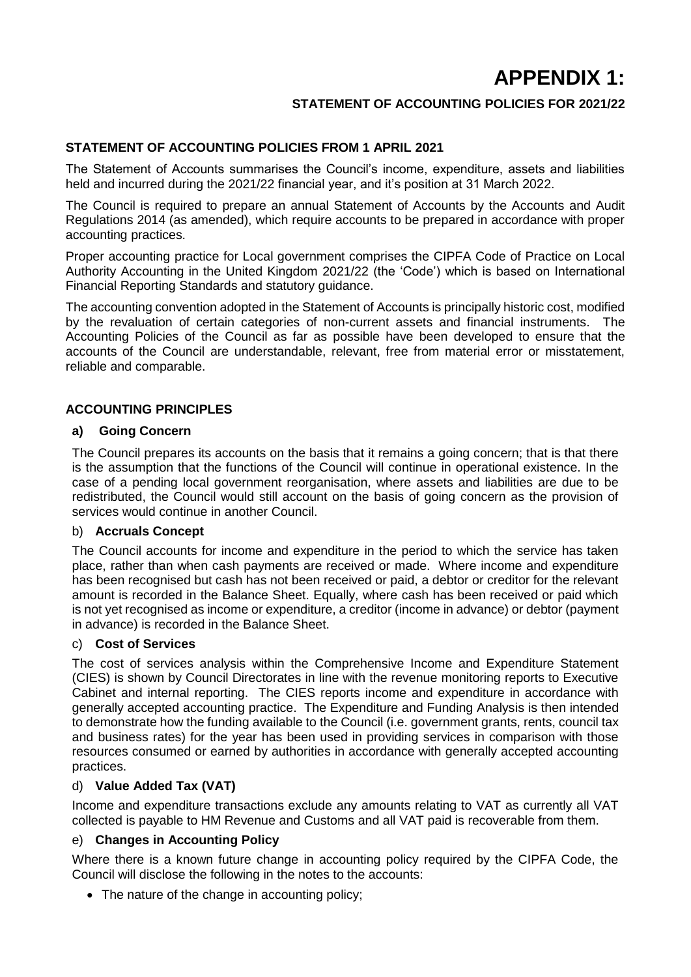# **APPENDIX 1:**

# **STATEMENT OF ACCOUNTING POLICIES FOR 2021/22**

# **STATEMENT OF ACCOUNTING POLICIES FROM 1 APRIL 2021**

The Statement of Accounts summarises the Council's income, expenditure, assets and liabilities held and incurred during the 2021/22 financial year, and it's position at 31 March 2022.

The Council is required to prepare an annual Statement of Accounts by the Accounts and Audit Regulations 2014 (as amended), which require accounts to be prepared in accordance with proper accounting practices.

Proper accounting practice for Local government comprises the CIPFA Code of Practice on Local Authority Accounting in the United Kingdom 2021/22 (the 'Code') which is based on International Financial Reporting Standards and statutory guidance.

The accounting convention adopted in the Statement of Accounts is principally historic cost, modified by the revaluation of certain categories of non-current assets and financial instruments. The Accounting Policies of the Council as far as possible have been developed to ensure that the accounts of the Council are understandable, relevant, free from material error or misstatement, reliable and comparable.

## **ACCOUNTING PRINCIPLES**

## **a) Going Concern**

The Council prepares its accounts on the basis that it remains a going concern; that is that there is the assumption that the functions of the Council will continue in operational existence. In the case of a pending local government reorganisation, where assets and liabilities are due to be redistributed, the Council would still account on the basis of going concern as the provision of services would continue in another Council.

## b) **Accruals Concept**

The Council accounts for income and expenditure in the period to which the service has taken place, rather than when cash payments are received or made. Where income and expenditure has been recognised but cash has not been received or paid, a debtor or creditor for the relevant amount is recorded in the Balance Sheet. Equally, where cash has been received or paid which is not yet recognised as income or expenditure, a creditor (income in advance) or debtor (payment in advance) is recorded in the Balance Sheet.

## c) **Cost of Services**

The cost of services analysis within the Comprehensive Income and Expenditure Statement (CIES) is shown by Council Directorates in line with the revenue monitoring reports to Executive Cabinet and internal reporting. The CIES reports income and expenditure in accordance with generally accepted accounting practice. The Expenditure and Funding Analysis is then intended to demonstrate how the funding available to the Council (i.e. government grants, rents, council tax and business rates) for the year has been used in providing services in comparison with those resources consumed or earned by authorities in accordance with generally accepted accounting practices.

## d) **Value Added Tax (VAT)**

Income and expenditure transactions exclude any amounts relating to VAT as currently all VAT collected is payable to HM Revenue and Customs and all VAT paid is recoverable from them.

## e) **Changes in Accounting Policy**

Where there is a known future change in accounting policy required by the CIPFA Code, the Council will disclose the following in the notes to the accounts:

• The nature of the change in accounting policy;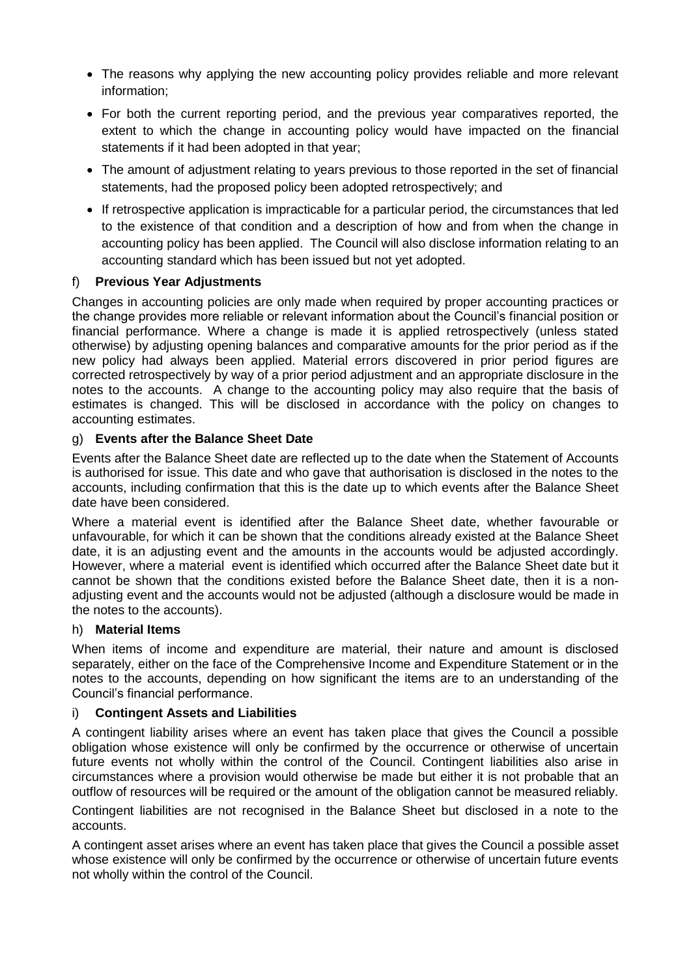- The reasons why applying the new accounting policy provides reliable and more relevant information;
- For both the current reporting period, and the previous year comparatives reported, the extent to which the change in accounting policy would have impacted on the financial statements if it had been adopted in that year;
- The amount of adjustment relating to years previous to those reported in the set of financial statements, had the proposed policy been adopted retrospectively; and
- If retrospective application is impracticable for a particular period, the circumstances that led to the existence of that condition and a description of how and from when the change in accounting policy has been applied. The Council will also disclose information relating to an accounting standard which has been issued but not yet adopted.

# f) **Previous Year Adjustments**

Changes in accounting policies are only made when required by proper accounting practices or the change provides more reliable or relevant information about the Council's financial position or financial performance. Where a change is made it is applied retrospectively (unless stated otherwise) by adjusting opening balances and comparative amounts for the prior period as if the new policy had always been applied. Material errors discovered in prior period figures are corrected retrospectively by way of a prior period adjustment and an appropriate disclosure in the notes to the accounts. A change to the accounting policy may also require that the basis of estimates is changed. This will be disclosed in accordance with the policy on changes to accounting estimates.

# g) **Events after the Balance Sheet Date**

Events after the Balance Sheet date are reflected up to the date when the Statement of Accounts is authorised for issue. This date and who gave that authorisation is disclosed in the notes to the accounts, including confirmation that this is the date up to which events after the Balance Sheet date have been considered.

Where a material event is identified after the Balance Sheet date, whether favourable or unfavourable, for which it can be shown that the conditions already existed at the Balance Sheet date, it is an adjusting event and the amounts in the accounts would be adjusted accordingly. However, where a material event is identified which occurred after the Balance Sheet date but it cannot be shown that the conditions existed before the Balance Sheet date, then it is a nonadjusting event and the accounts would not be adjusted (although a disclosure would be made in the notes to the accounts).

## h) **Material Items**

When items of income and expenditure are material, their nature and amount is disclosed separately, either on the face of the Comprehensive Income and Expenditure Statement or in the notes to the accounts, depending on how significant the items are to an understanding of the Council's financial performance.

## i) **Contingent Assets and Liabilities**

A contingent liability arises where an event has taken place that gives the Council a possible obligation whose existence will only be confirmed by the occurrence or otherwise of uncertain future events not wholly within the control of the Council. Contingent liabilities also arise in circumstances where a provision would otherwise be made but either it is not probable that an outflow of resources will be required or the amount of the obligation cannot be measured reliably.

Contingent liabilities are not recognised in the Balance Sheet but disclosed in a note to the accounts.

A contingent asset arises where an event has taken place that gives the Council a possible asset whose existence will only be confirmed by the occurrence or otherwise of uncertain future events not wholly within the control of the Council.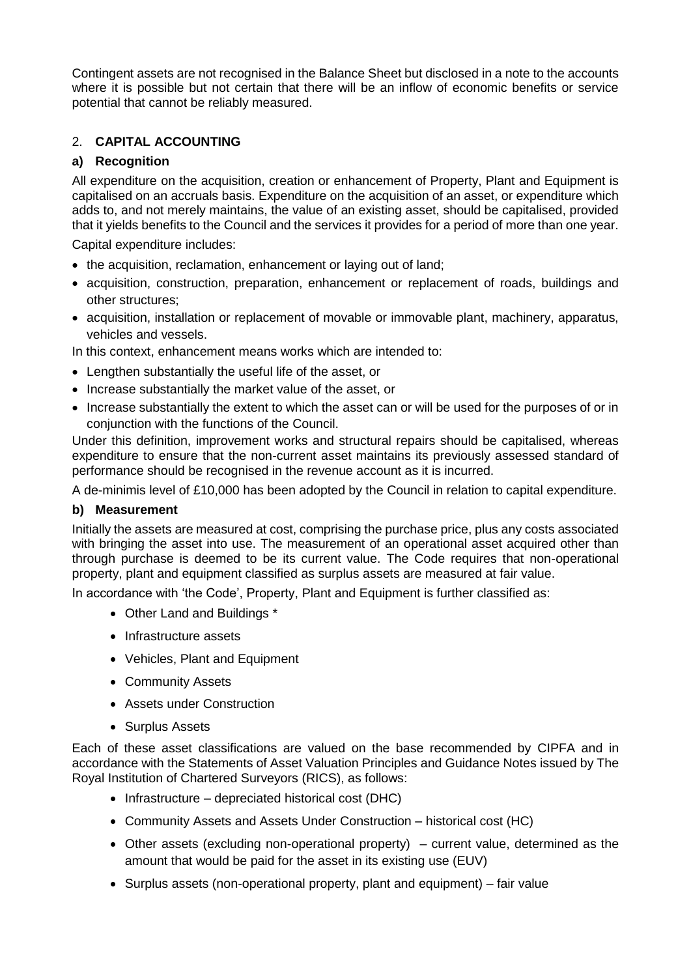Contingent assets are not recognised in the Balance Sheet but disclosed in a note to the accounts where it is possible but not certain that there will be an inflow of economic benefits or service potential that cannot be reliably measured.

# 2. **CAPITAL ACCOUNTING**

# **a) Recognition**

All expenditure on the acquisition, creation or enhancement of Property, Plant and Equipment is capitalised on an accruals basis. Expenditure on the acquisition of an asset, or expenditure which adds to, and not merely maintains, the value of an existing asset, should be capitalised, provided that it yields benefits to the Council and the services it provides for a period of more than one year.

Capital expenditure includes:

- the acquisition, reclamation, enhancement or laying out of land;
- acquisition, construction, preparation, enhancement or replacement of roads, buildings and other structures;
- acquisition, installation or replacement of movable or immovable plant, machinery, apparatus, vehicles and vessels.

In this context, enhancement means works which are intended to:

- Lengthen substantially the useful life of the asset, or
- Increase substantially the market value of the asset, or
- Increase substantially the extent to which the asset can or will be used for the purposes of or in conjunction with the functions of the Council.

Under this definition, improvement works and structural repairs should be capitalised, whereas expenditure to ensure that the non-current asset maintains its previously assessed standard of performance should be recognised in the revenue account as it is incurred.

A de-minimis level of £10,000 has been adopted by the Council in relation to capital expenditure.

## **b) Measurement**

Initially the assets are measured at cost, comprising the purchase price, plus any costs associated with bringing the asset into use. The measurement of an operational asset acquired other than through purchase is deemed to be its current value. The Code requires that non-operational property, plant and equipment classified as surplus assets are measured at fair value.

In accordance with 'the Code', Property, Plant and Equipment is further classified as:

- Other Land and Buildings \*
- Infrastructure assets
- Vehicles, Plant and Equipment
- Community Assets
- Assets under Construction
- Surplus Assets

Each of these asset classifications are valued on the base recommended by CIPFA and in accordance with the Statements of Asset Valuation Principles and Guidance Notes issued by The Royal Institution of Chartered Surveyors (RICS), as follows:

- $\bullet$  Infrastructure depreciated historical cost (DHC)
- Community Assets and Assets Under Construction historical cost (HC)
- Other assets (excluding non-operational property) current value, determined as the amount that would be paid for the asset in its existing use (EUV)
- Surplus assets (non-operational property, plant and equipment) fair value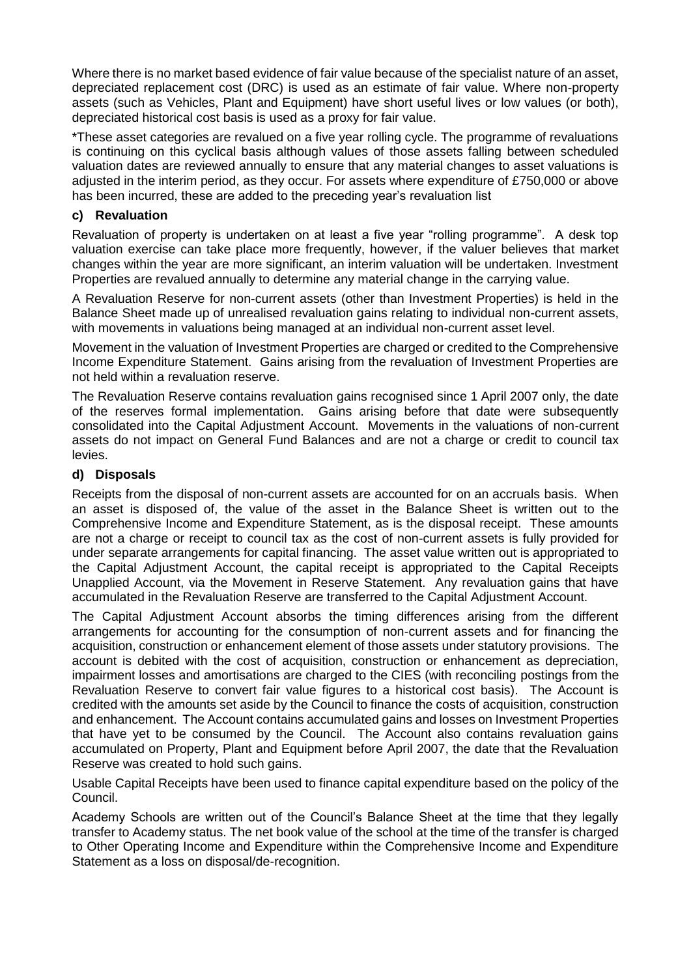Where there is no market based evidence of fair value because of the specialist nature of an asset, depreciated replacement cost (DRC) is used as an estimate of fair value. Where non-property assets (such as Vehicles, Plant and Equipment) have short useful lives or low values (or both), depreciated historical cost basis is used as a proxy for fair value.

\*These asset categories are revalued on a five year rolling cycle. The programme of revaluations is continuing on this cyclical basis although values of those assets falling between scheduled valuation dates are reviewed annually to ensure that any material changes to asset valuations is adjusted in the interim period, as they occur. For assets where expenditure of £750,000 or above has been incurred, these are added to the preceding year's revaluation list

## **c) Revaluation**

Revaluation of property is undertaken on at least a five year "rolling programme". A desk top valuation exercise can take place more frequently, however, if the valuer believes that market changes within the year are more significant, an interim valuation will be undertaken. Investment Properties are revalued annually to determine any material change in the carrying value.

A Revaluation Reserve for non-current assets (other than Investment Properties) is held in the Balance Sheet made up of unrealised revaluation gains relating to individual non-current assets, with movements in valuations being managed at an individual non-current asset level.

Movement in the valuation of Investment Properties are charged or credited to the Comprehensive Income Expenditure Statement. Gains arising from the revaluation of Investment Properties are not held within a revaluation reserve.

The Revaluation Reserve contains revaluation gains recognised since 1 April 2007 only, the date of the reserves formal implementation. Gains arising before that date were subsequently consolidated into the Capital Adjustment Account. Movements in the valuations of non-current assets do not impact on General Fund Balances and are not a charge or credit to council tax levies.

# **d) Disposals**

Receipts from the disposal of non-current assets are accounted for on an accruals basis. When an asset is disposed of, the value of the asset in the Balance Sheet is written out to the Comprehensive Income and Expenditure Statement, as is the disposal receipt. These amounts are not a charge or receipt to council tax as the cost of non-current assets is fully provided for under separate arrangements for capital financing. The asset value written out is appropriated to the Capital Adjustment Account, the capital receipt is appropriated to the Capital Receipts Unapplied Account, via the Movement in Reserve Statement. Any revaluation gains that have accumulated in the Revaluation Reserve are transferred to the Capital Adjustment Account.

The Capital Adjustment Account absorbs the timing differences arising from the different arrangements for accounting for the consumption of non-current assets and for financing the acquisition, construction or enhancement element of those assets under statutory provisions. The account is debited with the cost of acquisition, construction or enhancement as depreciation, impairment losses and amortisations are charged to the CIES (with reconciling postings from the Revaluation Reserve to convert fair value figures to a historical cost basis). The Account is credited with the amounts set aside by the Council to finance the costs of acquisition, construction and enhancement. The Account contains accumulated gains and losses on Investment Properties that have yet to be consumed by the Council. The Account also contains revaluation gains accumulated on Property, Plant and Equipment before April 2007, the date that the Revaluation Reserve was created to hold such gains.

Usable Capital Receipts have been used to finance capital expenditure based on the policy of the Council.

Academy Schools are written out of the Council's Balance Sheet at the time that they legally transfer to Academy status. The net book value of the school at the time of the transfer is charged to Other Operating Income and Expenditure within the Comprehensive Income and Expenditure Statement as a loss on disposal/de-recognition.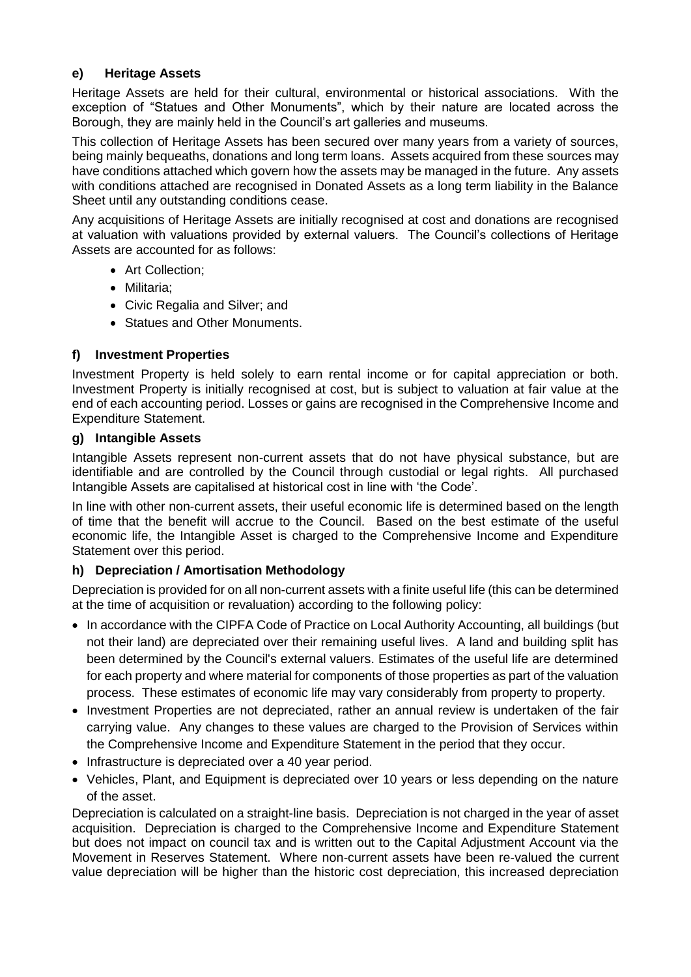# **e) Heritage Assets**

Heritage Assets are held for their cultural, environmental or historical associations. With the exception of "Statues and Other Monuments", which by their nature are located across the Borough, they are mainly held in the Council's art galleries and museums.

This collection of Heritage Assets has been secured over many years from a variety of sources, being mainly bequeaths, donations and long term loans. Assets acquired from these sources may have conditions attached which govern how the assets may be managed in the future. Any assets with conditions attached are recognised in Donated Assets as a long term liability in the Balance Sheet until any outstanding conditions cease.

Any acquisitions of Heritage Assets are initially recognised at cost and donations are recognised at valuation with valuations provided by external valuers. The Council's collections of Heritage Assets are accounted for as follows:

- Art Collection;
- Militaria;
- Civic Regalia and Silver; and
- Statues and Other Monuments.

# **f) Investment Properties**

Investment Property is held solely to earn rental income or for capital appreciation or both. Investment Property is initially recognised at cost, but is subject to valuation at fair value at the end of each accounting period. Losses or gains are recognised in the Comprehensive Income and Expenditure Statement.

## **g) Intangible Assets**

Intangible Assets represent non-current assets that do not have physical substance, but are identifiable and are controlled by the Council through custodial or legal rights. All purchased Intangible Assets are capitalised at historical cost in line with 'the Code'.

In line with other non-current assets, their useful economic life is determined based on the length of time that the benefit will accrue to the Council. Based on the best estimate of the useful economic life, the Intangible Asset is charged to the Comprehensive Income and Expenditure Statement over this period.

## **h) Depreciation / Amortisation Methodology**

Depreciation is provided for on all non-current assets with a finite useful life (this can be determined at the time of acquisition or revaluation) according to the following policy:

- In accordance with the CIPFA Code of Practice on Local Authority Accounting, all buildings (but not their land) are depreciated over their remaining useful lives. A land and building split has been determined by the Council's external valuers. Estimates of the useful life are determined for each property and where material for components of those properties as part of the valuation process. These estimates of economic life may vary considerably from property to property.
- Investment Properties are not depreciated, rather an annual review is undertaken of the fair carrying value. Any changes to these values are charged to the Provision of Services within the Comprehensive Income and Expenditure Statement in the period that they occur.
- Infrastructure is depreciated over a 40 year period.
- Vehicles, Plant, and Equipment is depreciated over 10 years or less depending on the nature of the asset.

Depreciation is calculated on a straight-line basis. Depreciation is not charged in the year of asset acquisition. Depreciation is charged to the Comprehensive Income and Expenditure Statement but does not impact on council tax and is written out to the Capital Adjustment Account via the Movement in Reserves Statement. Where non-current assets have been re-valued the current value depreciation will be higher than the historic cost depreciation, this increased depreciation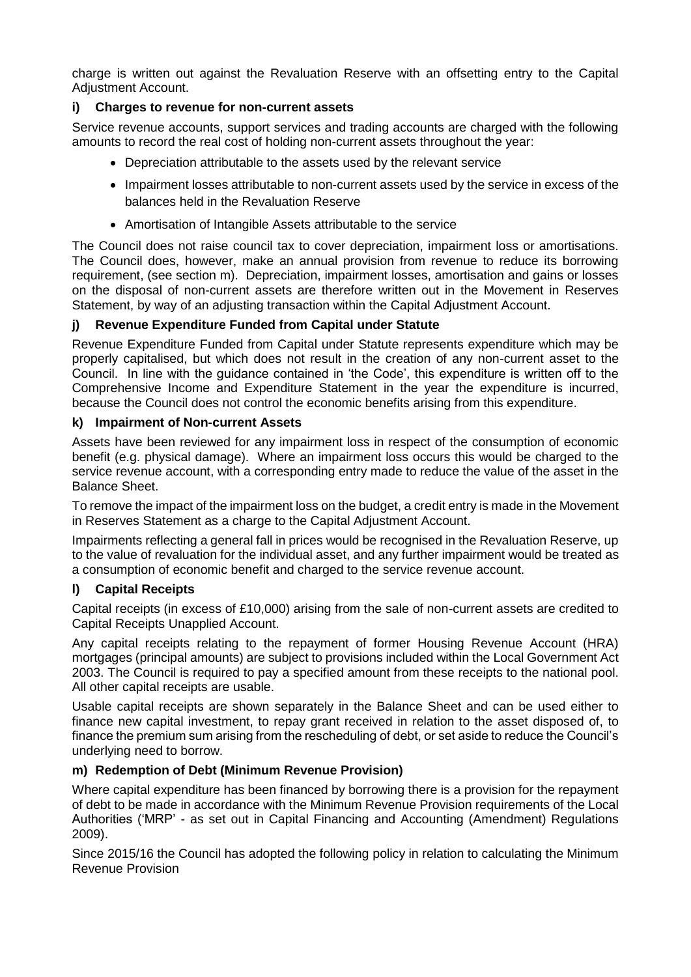charge is written out against the Revaluation Reserve with an offsetting entry to the Capital Adjustment Account.

# **i) Charges to revenue for non-current assets**

Service revenue accounts, support services and trading accounts are charged with the following amounts to record the real cost of holding non-current assets throughout the year:

- Depreciation attributable to the assets used by the relevant service
- Impairment losses attributable to non-current assets used by the service in excess of the balances held in the Revaluation Reserve
- Amortisation of Intangible Assets attributable to the service

The Council does not raise council tax to cover depreciation, impairment loss or amortisations. The Council does, however, make an annual provision from revenue to reduce its borrowing requirement, (see section m). Depreciation, impairment losses, amortisation and gains or losses on the disposal of non-current assets are therefore written out in the Movement in Reserves Statement, by way of an adjusting transaction within the Capital Adjustment Account.

# **j) Revenue Expenditure Funded from Capital under Statute**

Revenue Expenditure Funded from Capital under Statute represents expenditure which may be properly capitalised, but which does not result in the creation of any non-current asset to the Council. In line with the guidance contained in 'the Code', this expenditure is written off to the Comprehensive Income and Expenditure Statement in the year the expenditure is incurred, because the Council does not control the economic benefits arising from this expenditure.

## **k) Impairment of Non-current Assets**

Assets have been reviewed for any impairment loss in respect of the consumption of economic benefit (e.g. physical damage). Where an impairment loss occurs this would be charged to the service revenue account, with a corresponding entry made to reduce the value of the asset in the Balance Sheet.

To remove the impact of the impairment loss on the budget, a credit entry is made in the Movement in Reserves Statement as a charge to the Capital Adjustment Account.

Impairments reflecting a general fall in prices would be recognised in the Revaluation Reserve, up to the value of revaluation for the individual asset, and any further impairment would be treated as a consumption of economic benefit and charged to the service revenue account.

## **l) Capital Receipts**

Capital receipts (in excess of £10,000) arising from the sale of non-current assets are credited to Capital Receipts Unapplied Account.

Any capital receipts relating to the repayment of former Housing Revenue Account (HRA) mortgages (principal amounts) are subject to provisions included within the Local Government Act 2003. The Council is required to pay a specified amount from these receipts to the national pool. All other capital receipts are usable.

Usable capital receipts are shown separately in the Balance Sheet and can be used either to finance new capital investment, to repay grant received in relation to the asset disposed of, to finance the premium sum arising from the rescheduling of debt, or set aside to reduce the Council's underlying need to borrow.

## **m) Redemption of Debt (Minimum Revenue Provision)**

Where capital expenditure has been financed by borrowing there is a provision for the repayment of debt to be made in accordance with the Minimum Revenue Provision requirements of the Local Authorities ('MRP' - as set out in Capital Financing and Accounting (Amendment) Regulations 2009).

Since 2015/16 the Council has adopted the following policy in relation to calculating the Minimum Revenue Provision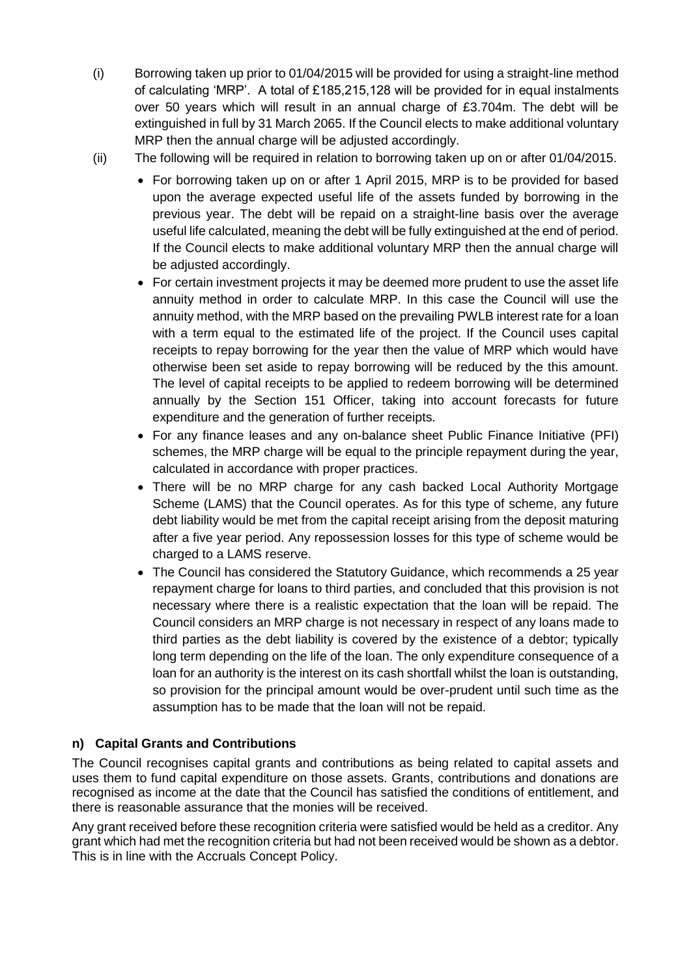- (i) Borrowing taken up prior to  $01/04/2015$  will be provided for using a straight-line method of calculating 'MRP'. A total of £185,215,128 will be provided for in equal instalments over 50 years which will result in an annual charge of £3.704m. The debt will be extinguished in full by 31 March 2065. If the Council elects to make additional voluntary MRP then the annual charge will be adjusted accordingly.
- (ii) The following will be required in relation to borrowing taken up on or after 01/04/2015.
	- For borrowing taken up on or after 1 April 2015, MRP is to be provided for based upon the average expected useful life of the assets funded by borrowing in the previous year. The debt will be repaid on a straight-line basis over the average useful life calculated, meaning the debt will be fully extinguished at the end of period. If the Council elects to make additional voluntary MRP then the annual charge will be adjusted accordingly.
	- For certain investment projects it may be deemed more prudent to use the asset life annuity method in order to calculate MRP. In this case the Council will use the annuity method, with the MRP based on the prevailing PWLB interest rate for a loan with a term equal to the estimated life of the project. If the Council uses capital receipts to repay borrowing for the year then the value of MRP which would have otherwise been set aside to repay borrowing will be reduced by the this amount. The level of capital receipts to be applied to redeem borrowing will be determined annually by the Section 151 Officer, taking into account forecasts for future expenditure and the generation of further receipts.
	- For any finance leases and any on-balance sheet Public Finance Initiative (PFI) schemes, the MRP charge will be equal to the principle repayment during the year, calculated in accordance with proper practices.
	- There will be no MRP charge for any cash backed Local Authority Mortgage Scheme (LAMS) that the Council operates. As for this type of scheme, any future debt liability would be met from the capital receipt arising from the deposit maturing after a five year period. Any repossession losses for this type of scheme would be charged to a LAMS reserve.
	- The Council has considered the Statutory Guidance, which recommends a 25 year repayment charge for loans to third parties, and concluded that this provision is not necessary where there is a realistic expectation that the loan will be repaid. The Council considers an MRP charge is not necessary in respect of any loans made to third parties as the debt liability is covered by the existence of a debtor; typically long term depending on the life of the loan. The only expenditure consequence of a loan for an authority is the interest on its cash shortfall whilst the loan is outstanding, so provision for the principal amount would be over-prudent until such time as the assumption has to be made that the loan will not be repaid.

# **n) Capital Grants and Contributions**

The Council recognises capital grants and contributions as being related to capital assets and uses them to fund capital expenditure on those assets. Grants, contributions and donations are recognised as income at the date that the Council has satisfied the conditions of entitlement, and there is reasonable assurance that the monies will be received.

Any grant received before these recognition criteria were satisfied would be held as a creditor. Any grant which had met the recognition criteria but had not been received would be shown as a debtor. This is in line with the Accruals Concept Policy.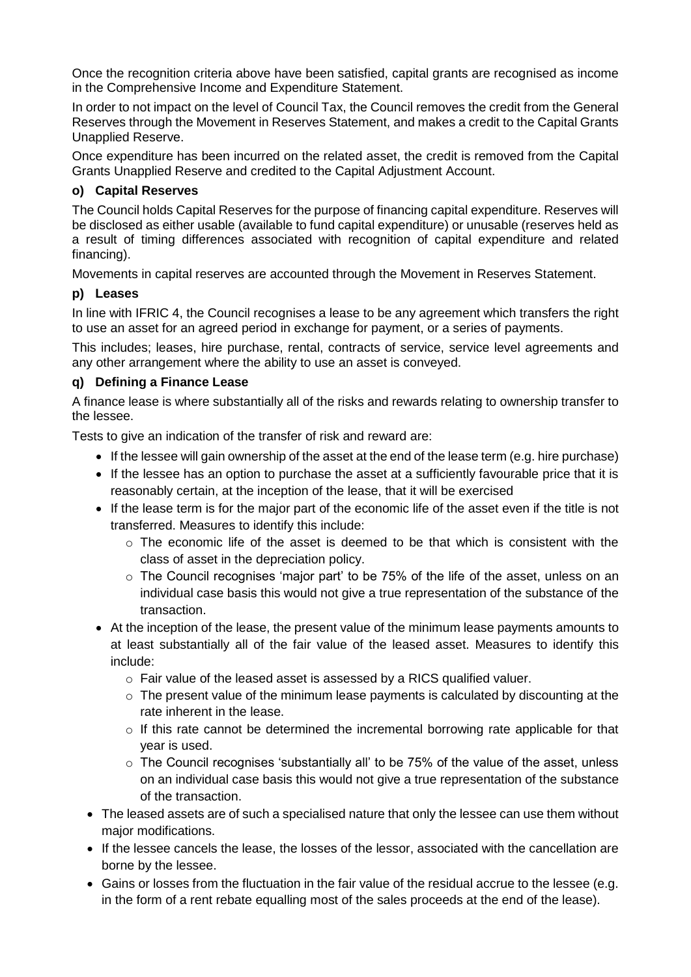Once the recognition criteria above have been satisfied, capital grants are recognised as income in the Comprehensive Income and Expenditure Statement.

In order to not impact on the level of Council Tax, the Council removes the credit from the General Reserves through the Movement in Reserves Statement, and makes a credit to the Capital Grants Unapplied Reserve.

Once expenditure has been incurred on the related asset, the credit is removed from the Capital Grants Unapplied Reserve and credited to the Capital Adjustment Account.

# **o) Capital Reserves**

The Council holds Capital Reserves for the purpose of financing capital expenditure. Reserves will be disclosed as either usable (available to fund capital expenditure) or unusable (reserves held as a result of timing differences associated with recognition of capital expenditure and related financing).

Movements in capital reserves are accounted through the Movement in Reserves Statement.

# **p) Leases**

In line with IFRIC 4, the Council recognises a lease to be any agreement which transfers the right to use an asset for an agreed period in exchange for payment, or a series of payments.

This includes; leases, hire purchase, rental, contracts of service, service level agreements and any other arrangement where the ability to use an asset is conveyed.

# **q) Defining a Finance Lease**

A finance lease is where substantially all of the risks and rewards relating to ownership transfer to the lessee.

Tests to give an indication of the transfer of risk and reward are:

- If the lessee will gain ownership of the asset at the end of the lease term (e.g. hire purchase)
- If the lessee has an option to purchase the asset at a sufficiently favourable price that it is reasonably certain, at the inception of the lease, that it will be exercised
- If the lease term is for the major part of the economic life of the asset even if the title is not transferred. Measures to identify this include:
	- $\circ$  The economic life of the asset is deemed to be that which is consistent with the class of asset in the depreciation policy.
	- $\circ$  The Council recognises 'major part' to be 75% of the life of the asset, unless on an individual case basis this would not give a true representation of the substance of the transaction.
- At the inception of the lease, the present value of the minimum lease payments amounts to at least substantially all of the fair value of the leased asset. Measures to identify this include:
	- o Fair value of the leased asset is assessed by a RICS qualified valuer.
	- o The present value of the minimum lease payments is calculated by discounting at the rate inherent in the lease.
	- o If this rate cannot be determined the incremental borrowing rate applicable for that year is used.
	- o The Council recognises 'substantially all' to be 75% of the value of the asset, unless on an individual case basis this would not give a true representation of the substance of the transaction.
- The leased assets are of such a specialised nature that only the lessee can use them without major modifications.
- If the lessee cancels the lease, the losses of the lessor, associated with the cancellation are borne by the lessee.
- Gains or losses from the fluctuation in the fair value of the residual accrue to the lessee (e.g. in the form of a rent rebate equalling most of the sales proceeds at the end of the lease).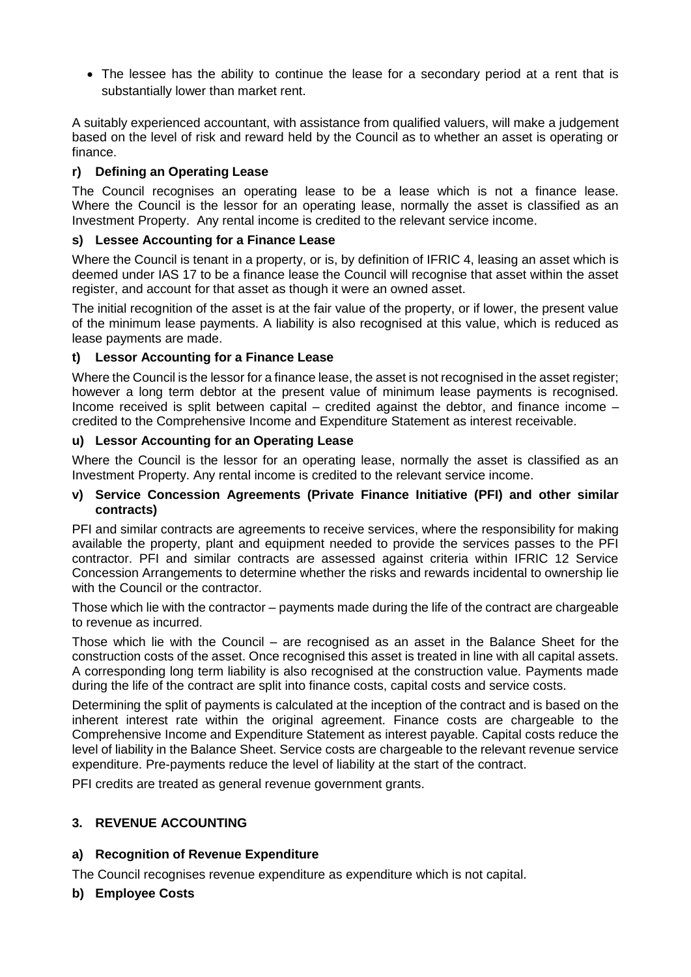• The lessee has the ability to continue the lease for a secondary period at a rent that is substantially lower than market rent.

A suitably experienced accountant, with assistance from qualified valuers, will make a judgement based on the level of risk and reward held by the Council as to whether an asset is operating or finance.

# **r) Defining an Operating Lease**

The Council recognises an operating lease to be a lease which is not a finance lease. Where the Council is the lessor for an operating lease, normally the asset is classified as an Investment Property. Any rental income is credited to the relevant service income.

# **s) Lessee Accounting for a Finance Lease**

Where the Council is tenant in a property, or is, by definition of IFRIC 4, leasing an asset which is deemed under IAS 17 to be a finance lease the Council will recognise that asset within the asset register, and account for that asset as though it were an owned asset.

The initial recognition of the asset is at the fair value of the property, or if lower, the present value of the minimum lease payments. A liability is also recognised at this value, which is reduced as lease payments are made.

# **t) Lessor Accounting for a Finance Lease**

Where the Council is the lessor for a finance lease, the asset is not recognised in the asset register; however a long term debtor at the present value of minimum lease payments is recognised. Income received is split between capital – credited against the debtor, and finance income – credited to the Comprehensive Income and Expenditure Statement as interest receivable.

# **u) Lessor Accounting for an Operating Lease**

Where the Council is the lessor for an operating lease, normally the asset is classified as an Investment Property. Any rental income is credited to the relevant service income.

# **v) Service Concession Agreements (Private Finance Initiative (PFI) and other similar contracts)**

PFI and similar contracts are agreements to receive services, where the responsibility for making available the property, plant and equipment needed to provide the services passes to the PFI contractor. PFI and similar contracts are assessed against criteria within IFRIC 12 Service Concession Arrangements to determine whether the risks and rewards incidental to ownership lie with the Council or the contractor.

Those which lie with the contractor – payments made during the life of the contract are chargeable to revenue as incurred.

Those which lie with the Council – are recognised as an asset in the Balance Sheet for the construction costs of the asset. Once recognised this asset is treated in line with all capital assets. A corresponding long term liability is also recognised at the construction value. Payments made during the life of the contract are split into finance costs, capital costs and service costs.

Determining the split of payments is calculated at the inception of the contract and is based on the inherent interest rate within the original agreement. Finance costs are chargeable to the Comprehensive Income and Expenditure Statement as interest payable. Capital costs reduce the level of liability in the Balance Sheet. Service costs are chargeable to the relevant revenue service expenditure. Pre-payments reduce the level of liability at the start of the contract.

PFI credits are treated as general revenue government grants.

# **3. REVENUE ACCOUNTING**

# **a) Recognition of Revenue Expenditure**

The Council recognises revenue expenditure as expenditure which is not capital.

# **b) Employee Costs**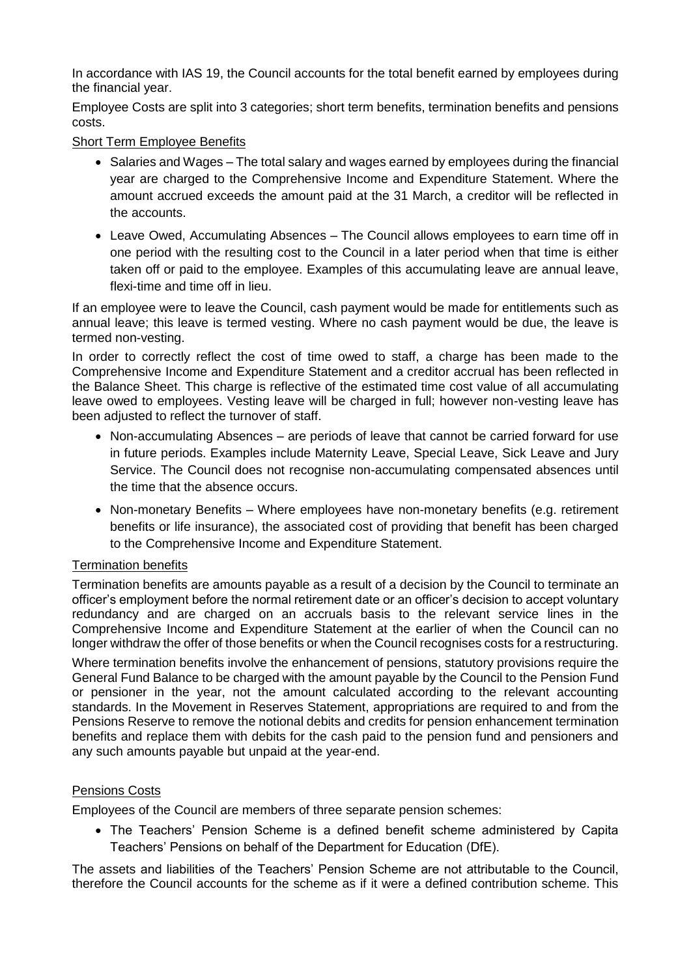In accordance with IAS 19, the Council accounts for the total benefit earned by employees during the financial year.

Employee Costs are split into 3 categories; short term benefits, termination benefits and pensions costs.

## Short Term Employee Benefits

- Salaries and Wages The total salary and wages earned by employees during the financial year are charged to the Comprehensive Income and Expenditure Statement. Where the amount accrued exceeds the amount paid at the 31 March, a creditor will be reflected in the accounts.
- Leave Owed, Accumulating Absences The Council allows employees to earn time off in one period with the resulting cost to the Council in a later period when that time is either taken off or paid to the employee. Examples of this accumulating leave are annual leave, flexi-time and time off in lieu.

If an employee were to leave the Council, cash payment would be made for entitlements such as annual leave; this leave is termed vesting. Where no cash payment would be due, the leave is termed non-vesting.

In order to correctly reflect the cost of time owed to staff, a charge has been made to the Comprehensive Income and Expenditure Statement and a creditor accrual has been reflected in the Balance Sheet. This charge is reflective of the estimated time cost value of all accumulating leave owed to employees. Vesting leave will be charged in full; however non-vesting leave has been adjusted to reflect the turnover of staff.

- Non-accumulating Absences are periods of leave that cannot be carried forward for use in future periods. Examples include Maternity Leave, Special Leave, Sick Leave and Jury Service. The Council does not recognise non-accumulating compensated absences until the time that the absence occurs.
- Non-monetary Benefits Where employees have non-monetary benefits (e.g. retirement benefits or life insurance), the associated cost of providing that benefit has been charged to the Comprehensive Income and Expenditure Statement.

## Termination benefits

Termination benefits are amounts payable as a result of a decision by the Council to terminate an officer's employment before the normal retirement date or an officer's decision to accept voluntary redundancy and are charged on an accruals basis to the relevant service lines in the Comprehensive Income and Expenditure Statement at the earlier of when the Council can no longer withdraw the offer of those benefits or when the Council recognises costs for a restructuring.

Where termination benefits involve the enhancement of pensions, statutory provisions require the General Fund Balance to be charged with the amount payable by the Council to the Pension Fund or pensioner in the year, not the amount calculated according to the relevant accounting standards. In the Movement in Reserves Statement, appropriations are required to and from the Pensions Reserve to remove the notional debits and credits for pension enhancement termination benefits and replace them with debits for the cash paid to the pension fund and pensioners and any such amounts payable but unpaid at the year-end.

## Pensions Costs

Employees of the Council are members of three separate pension schemes:

 The Teachers' Pension Scheme is a defined benefit scheme administered by Capita Teachers' Pensions on behalf of the Department for Education (DfE).

The assets and liabilities of the Teachers' Pension Scheme are not attributable to the Council, therefore the Council accounts for the scheme as if it were a defined contribution scheme. This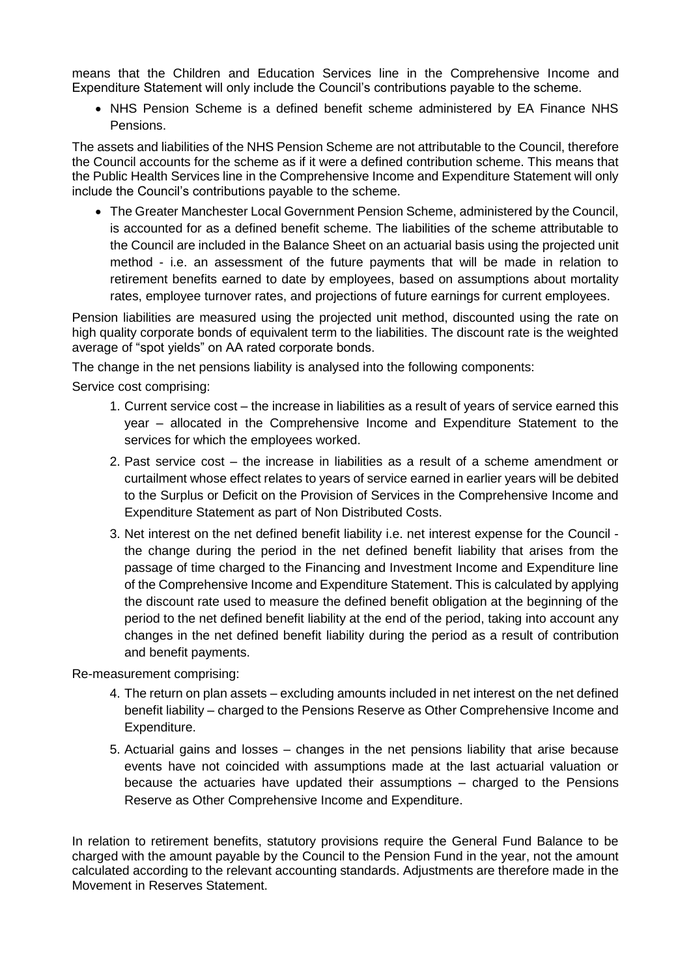means that the Children and Education Services line in the Comprehensive Income and Expenditure Statement will only include the Council's contributions payable to the scheme.

 NHS Pension Scheme is a defined benefit scheme administered by EA Finance NHS Pensions.

The assets and liabilities of the NHS Pension Scheme are not attributable to the Council, therefore the Council accounts for the scheme as if it were a defined contribution scheme. This means that the Public Health Services line in the Comprehensive Income and Expenditure Statement will only include the Council's contributions payable to the scheme.

 The Greater Manchester Local Government Pension Scheme, administered by the Council, is accounted for as a defined benefit scheme. The liabilities of the scheme attributable to the Council are included in the Balance Sheet on an actuarial basis using the projected unit method - i.e. an assessment of the future payments that will be made in relation to retirement benefits earned to date by employees, based on assumptions about mortality rates, employee turnover rates, and projections of future earnings for current employees.

Pension liabilities are measured using the projected unit method, discounted using the rate on high quality corporate bonds of equivalent term to the liabilities. The discount rate is the weighted average of "spot yields" on AA rated corporate bonds.

The change in the net pensions liability is analysed into the following components:

Service cost comprising:

- 1. Current service cost the increase in liabilities as a result of years of service earned this year – allocated in the Comprehensive Income and Expenditure Statement to the services for which the employees worked.
- 2. Past service cost the increase in liabilities as a result of a scheme amendment or curtailment whose effect relates to years of service earned in earlier years will be debited to the Surplus or Deficit on the Provision of Services in the Comprehensive Income and Expenditure Statement as part of Non Distributed Costs.
- 3. Net interest on the net defined benefit liability i.e. net interest expense for the Council the change during the period in the net defined benefit liability that arises from the passage of time charged to the Financing and Investment Income and Expenditure line of the Comprehensive Income and Expenditure Statement. This is calculated by applying the discount rate used to measure the defined benefit obligation at the beginning of the period to the net defined benefit liability at the end of the period, taking into account any changes in the net defined benefit liability during the period as a result of contribution and benefit payments.

Re-measurement comprising:

- 4. The return on plan assets excluding amounts included in net interest on the net defined benefit liability – charged to the Pensions Reserve as Other Comprehensive Income and Expenditure.
- 5. Actuarial gains and losses changes in the net pensions liability that arise because events have not coincided with assumptions made at the last actuarial valuation or because the actuaries have updated their assumptions – charged to the Pensions Reserve as Other Comprehensive Income and Expenditure.

In relation to retirement benefits, statutory provisions require the General Fund Balance to be charged with the amount payable by the Council to the Pension Fund in the year, not the amount calculated according to the relevant accounting standards. Adjustments are therefore made in the Movement in Reserves Statement.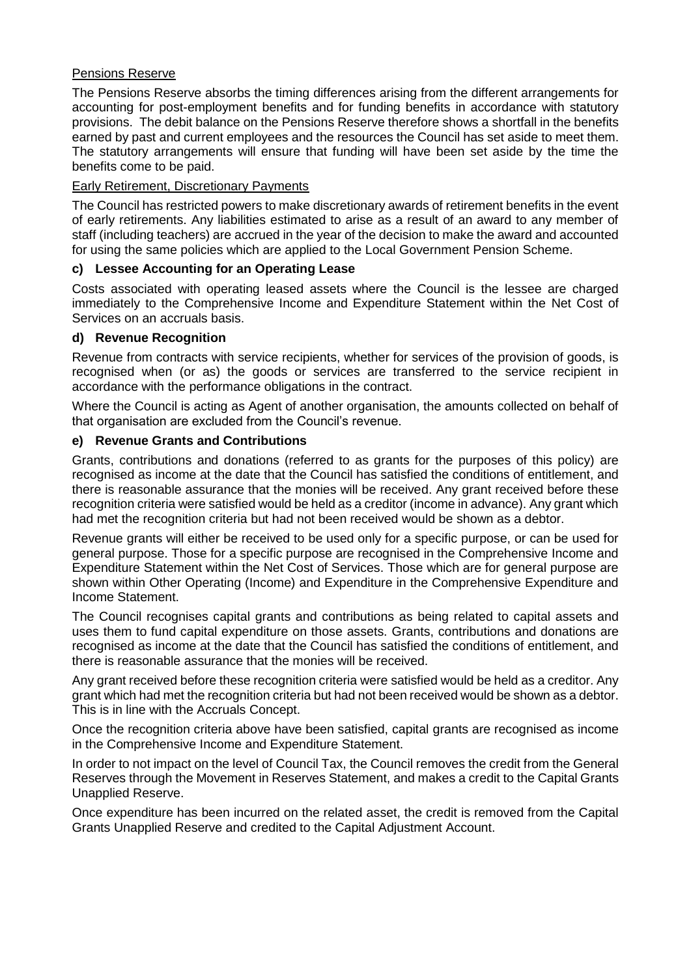## Pensions Reserve

The Pensions Reserve absorbs the timing differences arising from the different arrangements for accounting for post-employment benefits and for funding benefits in accordance with statutory provisions. The debit balance on the Pensions Reserve therefore shows a shortfall in the benefits earned by past and current employees and the resources the Council has set aside to meet them. The statutory arrangements will ensure that funding will have been set aside by the time the benefits come to be paid.

## Early Retirement, Discretionary Payments

The Council has restricted powers to make discretionary awards of retirement benefits in the event of early retirements. Any liabilities estimated to arise as a result of an award to any member of staff (including teachers) are accrued in the year of the decision to make the award and accounted for using the same policies which are applied to the Local Government Pension Scheme.

## **c) Lessee Accounting for an Operating Lease**

Costs associated with operating leased assets where the Council is the lessee are charged immediately to the Comprehensive Income and Expenditure Statement within the Net Cost of Services on an accruals basis.

## **d) Revenue Recognition**

Revenue from contracts with service recipients, whether for services of the provision of goods, is recognised when (or as) the goods or services are transferred to the service recipient in accordance with the performance obligations in the contract.

Where the Council is acting as Agent of another organisation, the amounts collected on behalf of that organisation are excluded from the Council's revenue.

## **e) Revenue Grants and Contributions**

Grants, contributions and donations (referred to as grants for the purposes of this policy) are recognised as income at the date that the Council has satisfied the conditions of entitlement, and there is reasonable assurance that the monies will be received. Any grant received before these recognition criteria were satisfied would be held as a creditor (income in advance). Any grant which had met the recognition criteria but had not been received would be shown as a debtor.

Revenue grants will either be received to be used only for a specific purpose, or can be used for general purpose. Those for a specific purpose are recognised in the Comprehensive Income and Expenditure Statement within the Net Cost of Services. Those which are for general purpose are shown within Other Operating (Income) and Expenditure in the Comprehensive Expenditure and Income Statement.

The Council recognises capital grants and contributions as being related to capital assets and uses them to fund capital expenditure on those assets. Grants, contributions and donations are recognised as income at the date that the Council has satisfied the conditions of entitlement, and there is reasonable assurance that the monies will be received.

Any grant received before these recognition criteria were satisfied would be held as a creditor. Any grant which had met the recognition criteria but had not been received would be shown as a debtor. This is in line with the Accruals Concept.

Once the recognition criteria above have been satisfied, capital grants are recognised as income in the Comprehensive Income and Expenditure Statement.

In order to not impact on the level of Council Tax, the Council removes the credit from the General Reserves through the Movement in Reserves Statement, and makes a credit to the Capital Grants Unapplied Reserve.

Once expenditure has been incurred on the related asset, the credit is removed from the Capital Grants Unapplied Reserve and credited to the Capital Adjustment Account.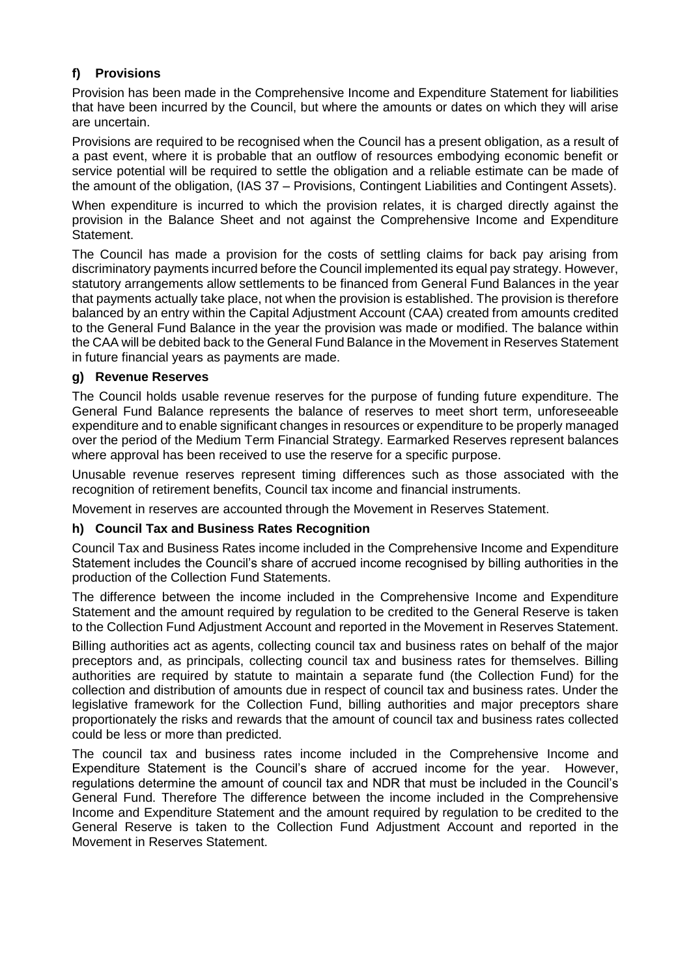# **f) Provisions**

Provision has been made in the Comprehensive Income and Expenditure Statement for liabilities that have been incurred by the Council, but where the amounts or dates on which they will arise are uncertain.

Provisions are required to be recognised when the Council has a present obligation, as a result of a past event, where it is probable that an outflow of resources embodying economic benefit or service potential will be required to settle the obligation and a reliable estimate can be made of the amount of the obligation, (IAS 37 – Provisions, Contingent Liabilities and Contingent Assets).

When expenditure is incurred to which the provision relates, it is charged directly against the provision in the Balance Sheet and not against the Comprehensive Income and Expenditure Statement.

The Council has made a provision for the costs of settling claims for back pay arising from discriminatory payments incurred before the Council implemented its equal pay strategy. However, statutory arrangements allow settlements to be financed from General Fund Balances in the year that payments actually take place, not when the provision is established. The provision is therefore balanced by an entry within the Capital Adjustment Account (CAA) created from amounts credited to the General Fund Balance in the year the provision was made or modified. The balance within the CAA will be debited back to the General Fund Balance in the Movement in Reserves Statement in future financial years as payments are made.

# **g) Revenue Reserves**

The Council holds usable revenue reserves for the purpose of funding future expenditure. The General Fund Balance represents the balance of reserves to meet short term, unforeseeable expenditure and to enable significant changes in resources or expenditure to be properly managed over the period of the Medium Term Financial Strategy. Earmarked Reserves represent balances where approval has been received to use the reserve for a specific purpose.

Unusable revenue reserves represent timing differences such as those associated with the recognition of retirement benefits, Council tax income and financial instruments.

Movement in reserves are accounted through the Movement in Reserves Statement.

## **h) Council Tax and Business Rates Recognition**

Council Tax and Business Rates income included in the Comprehensive Income and Expenditure Statement includes the Council's share of accrued income recognised by billing authorities in the production of the Collection Fund Statements.

The difference between the income included in the Comprehensive Income and Expenditure Statement and the amount required by regulation to be credited to the General Reserve is taken to the Collection Fund Adjustment Account and reported in the Movement in Reserves Statement.

Billing authorities act as agents, collecting council tax and business rates on behalf of the major preceptors and, as principals, collecting council tax and business rates for themselves. Billing authorities are required by statute to maintain a separate fund (the Collection Fund) for the collection and distribution of amounts due in respect of council tax and business rates. Under the legislative framework for the Collection Fund, billing authorities and major preceptors share proportionately the risks and rewards that the amount of council tax and business rates collected could be less or more than predicted.

The council tax and business rates income included in the Comprehensive Income and Expenditure Statement is the Council's share of accrued income for the year. However, regulations determine the amount of council tax and NDR that must be included in the Council's General Fund. Therefore The difference between the income included in the Comprehensive Income and Expenditure Statement and the amount required by regulation to be credited to the General Reserve is taken to the Collection Fund Adjustment Account and reported in the Movement in Reserves Statement.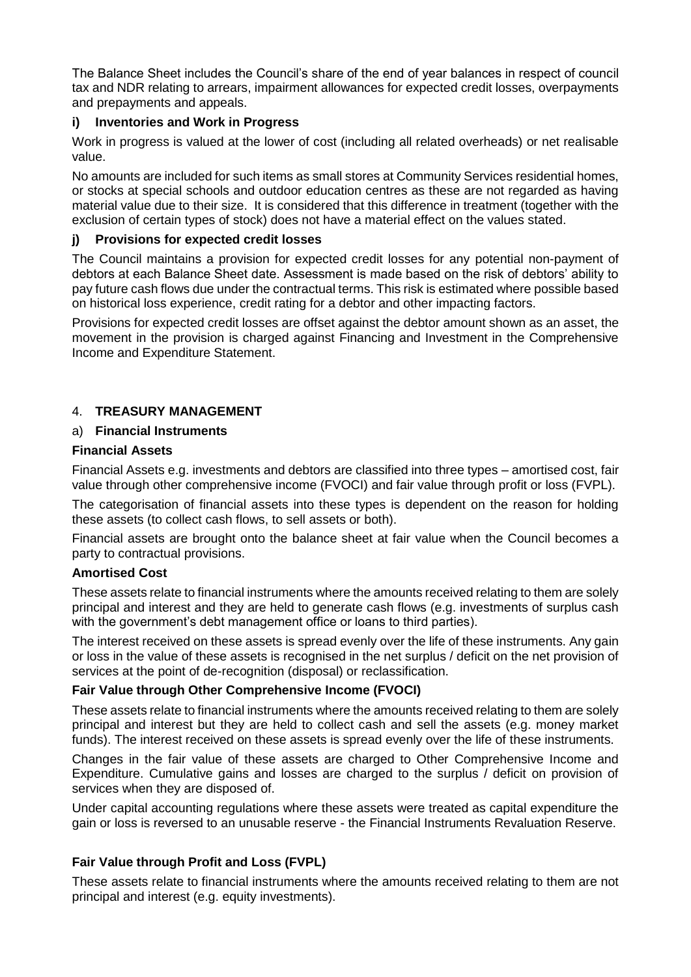The Balance Sheet includes the Council's share of the end of year balances in respect of council tax and NDR relating to arrears, impairment allowances for expected credit losses, overpayments and prepayments and appeals.

# **i) Inventories and Work in Progress**

Work in progress is valued at the lower of cost (including all related overheads) or net realisable value.

No amounts are included for such items as small stores at Community Services residential homes, or stocks at special schools and outdoor education centres as these are not regarded as having material value due to their size. It is considered that this difference in treatment (together with the exclusion of certain types of stock) does not have a material effect on the values stated.

## **j) Provisions for expected credit losses**

The Council maintains a provision for expected credit losses for any potential non-payment of debtors at each Balance Sheet date. Assessment is made based on the risk of debtors' ability to pay future cash flows due under the contractual terms. This risk is estimated where possible based on historical loss experience, credit rating for a debtor and other impacting factors.

Provisions for expected credit losses are offset against the debtor amount shown as an asset, the movement in the provision is charged against Financing and Investment in the Comprehensive Income and Expenditure Statement.

# 4. **TREASURY MANAGEMENT**

# a) **Financial Instruments**

## **Financial Assets**

Financial Assets e.g. investments and debtors are classified into three types – amortised cost, fair value through other comprehensive income (FVOCI) and fair value through profit or loss (FVPL).

The categorisation of financial assets into these types is dependent on the reason for holding these assets (to collect cash flows, to sell assets or both).

Financial assets are brought onto the balance sheet at fair value when the Council becomes a party to contractual provisions.

## **Amortised Cost**

These assets relate to financial instruments where the amounts received relating to them are solely principal and interest and they are held to generate cash flows (e.g. investments of surplus cash with the government's debt management office or loans to third parties).

The interest received on these assets is spread evenly over the life of these instruments. Any gain or loss in the value of these assets is recognised in the net surplus / deficit on the net provision of services at the point of de-recognition (disposal) or reclassification.

# **Fair Value through Other Comprehensive Income (FVOCI)**

These assets relate to financial instruments where the amounts received relating to them are solely principal and interest but they are held to collect cash and sell the assets (e.g. money market funds). The interest received on these assets is spread evenly over the life of these instruments.

Changes in the fair value of these assets are charged to Other Comprehensive Income and Expenditure. Cumulative gains and losses are charged to the surplus / deficit on provision of services when they are disposed of.

Under capital accounting regulations where these assets were treated as capital expenditure the gain or loss is reversed to an unusable reserve - the Financial Instruments Revaluation Reserve.

## **Fair Value through Profit and Loss (FVPL)**

These assets relate to financial instruments where the amounts received relating to them are not principal and interest (e.g. equity investments).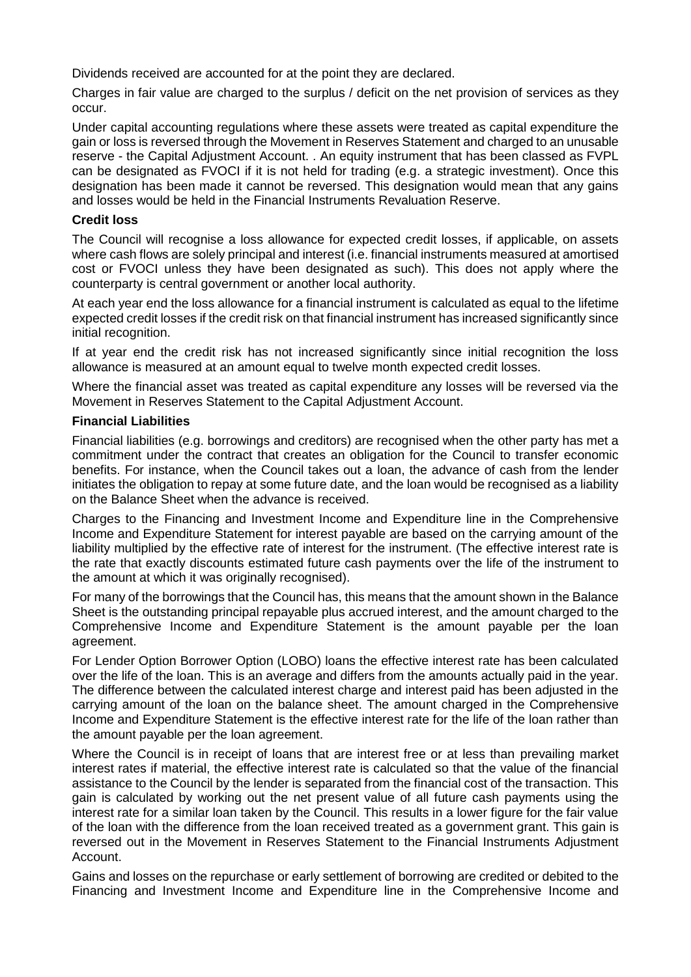Dividends received are accounted for at the point they are declared.

Charges in fair value are charged to the surplus / deficit on the net provision of services as they occur.

Under capital accounting regulations where these assets were treated as capital expenditure the gain or loss is reversed through the Movement in Reserves Statement and charged to an unusable reserve - the Capital Adjustment Account. . An equity instrument that has been classed as FVPL can be designated as FVOCI if it is not held for trading (e.g. a strategic investment). Once this designation has been made it cannot be reversed. This designation would mean that any gains and losses would be held in the Financial Instruments Revaluation Reserve.

#### **Credit loss**

The Council will recognise a loss allowance for expected credit losses, if applicable, on assets where cash flows are solely principal and interest (i.e. financial instruments measured at amortised cost or FVOCI unless they have been designated as such). This does not apply where the counterparty is central government or another local authority.

At each year end the loss allowance for a financial instrument is calculated as equal to the lifetime expected credit losses if the credit risk on that financial instrument has increased significantly since initial recognition.

If at year end the credit risk has not increased significantly since initial recognition the loss allowance is measured at an amount equal to twelve month expected credit losses.

Where the financial asset was treated as capital expenditure any losses will be reversed via the Movement in Reserves Statement to the Capital Adjustment Account.

#### **Financial Liabilities**

Financial liabilities (e.g. borrowings and creditors) are recognised when the other party has met a commitment under the contract that creates an obligation for the Council to transfer economic benefits. For instance, when the Council takes out a loan, the advance of cash from the lender initiates the obligation to repay at some future date, and the loan would be recognised as a liability on the Balance Sheet when the advance is received.

Charges to the Financing and Investment Income and Expenditure line in the Comprehensive Income and Expenditure Statement for interest payable are based on the carrying amount of the liability multiplied by the effective rate of interest for the instrument. (The effective interest rate is the rate that exactly discounts estimated future cash payments over the life of the instrument to the amount at which it was originally recognised).

For many of the borrowings that the Council has, this means that the amount shown in the Balance Sheet is the outstanding principal repayable plus accrued interest, and the amount charged to the Comprehensive Income and Expenditure Statement is the amount payable per the loan agreement.

For Lender Option Borrower Option (LOBO) loans the effective interest rate has been calculated over the life of the loan. This is an average and differs from the amounts actually paid in the year. The difference between the calculated interest charge and interest paid has been adjusted in the carrying amount of the loan on the balance sheet. The amount charged in the Comprehensive Income and Expenditure Statement is the effective interest rate for the life of the loan rather than the amount payable per the loan agreement.

Where the Council is in receipt of loans that are interest free or at less than prevailing market interest rates if material, the effective interest rate is calculated so that the value of the financial assistance to the Council by the lender is separated from the financial cost of the transaction. This gain is calculated by working out the net present value of all future cash payments using the interest rate for a similar loan taken by the Council. This results in a lower figure for the fair value of the loan with the difference from the loan received treated as a government grant. This gain is reversed out in the Movement in Reserves Statement to the Financial Instruments Adjustment Account.

Gains and losses on the repurchase or early settlement of borrowing are credited or debited to the Financing and Investment Income and Expenditure line in the Comprehensive Income and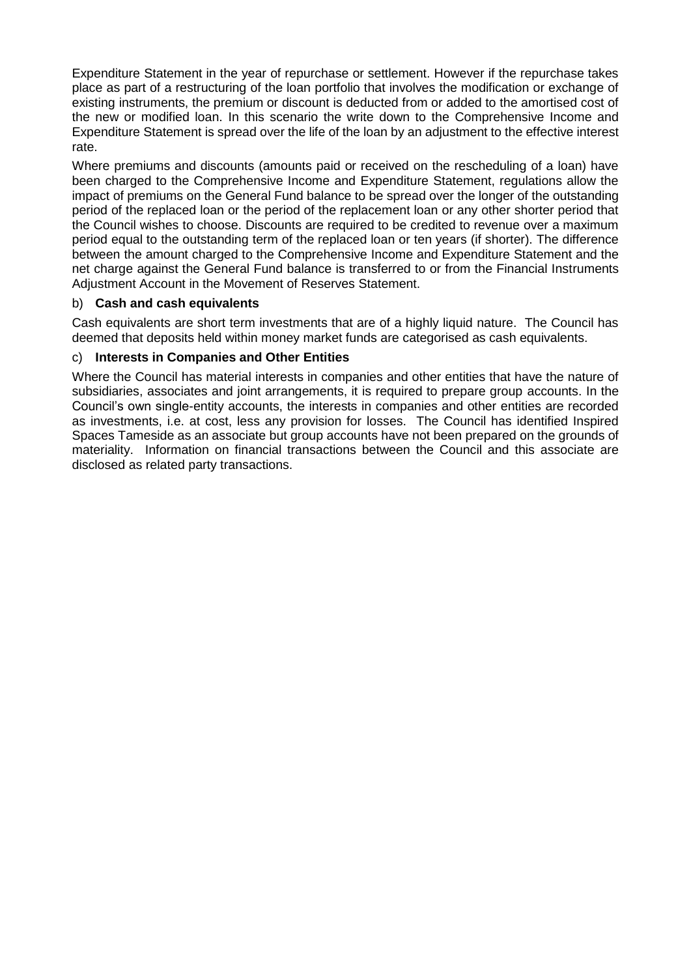Expenditure Statement in the year of repurchase or settlement. However if the repurchase takes place as part of a restructuring of the loan portfolio that involves the modification or exchange of existing instruments, the premium or discount is deducted from or added to the amortised cost of the new or modified loan. In this scenario the write down to the Comprehensive Income and Expenditure Statement is spread over the life of the loan by an adjustment to the effective interest rate.

Where premiums and discounts (amounts paid or received on the rescheduling of a loan) have been charged to the Comprehensive Income and Expenditure Statement, regulations allow the impact of premiums on the General Fund balance to be spread over the longer of the outstanding period of the replaced loan or the period of the replacement loan or any other shorter period that the Council wishes to choose. Discounts are required to be credited to revenue over a maximum period equal to the outstanding term of the replaced loan or ten years (if shorter). The difference between the amount charged to the Comprehensive Income and Expenditure Statement and the net charge against the General Fund balance is transferred to or from the Financial Instruments Adjustment Account in the Movement of Reserves Statement.

# b) **Cash and cash equivalents**

Cash equivalents are short term investments that are of a highly liquid nature. The Council has deemed that deposits held within money market funds are categorised as cash equivalents.

# c) **Interests in Companies and Other Entities**

Where the Council has material interests in companies and other entities that have the nature of subsidiaries, associates and joint arrangements, it is required to prepare group accounts. In the Council's own single-entity accounts, the interests in companies and other entities are recorded as investments, i.e. at cost, less any provision for losses. The Council has identified Inspired Spaces Tameside as an associate but group accounts have not been prepared on the grounds of materiality. Information on financial transactions between the Council and this associate are disclosed as related party transactions.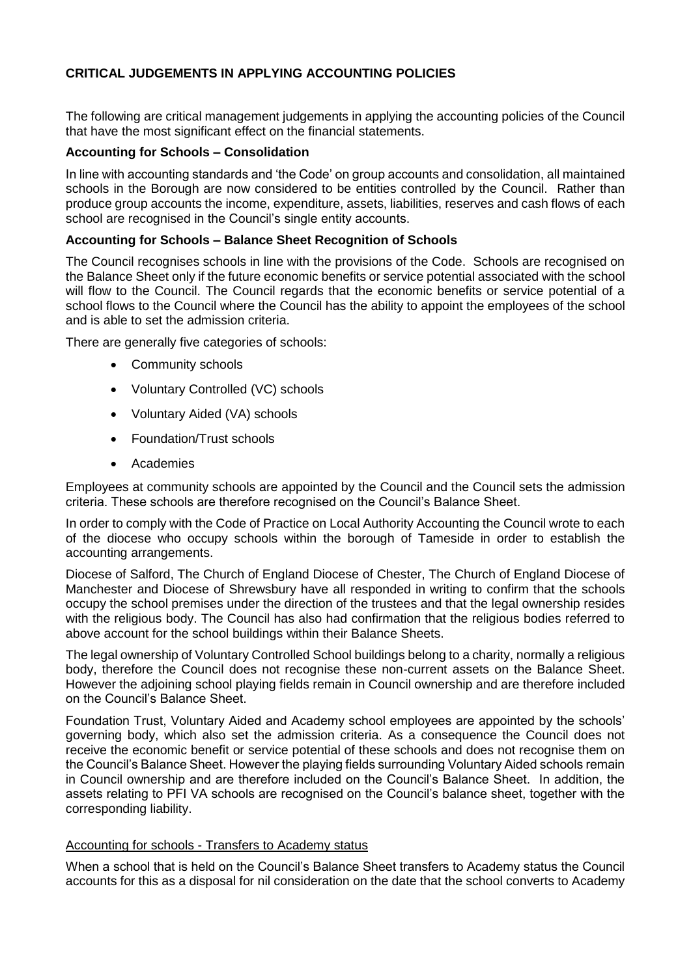# **CRITICAL JUDGEMENTS IN APPLYING ACCOUNTING POLICIES**

The following are critical management judgements in applying the accounting policies of the Council that have the most significant effect on the financial statements.

## **Accounting for Schools – Consolidation**

In line with accounting standards and 'the Code' on group accounts and consolidation, all maintained schools in the Borough are now considered to be entities controlled by the Council. Rather than produce group accounts the income, expenditure, assets, liabilities, reserves and cash flows of each school are recognised in the Council's single entity accounts.

#### **Accounting for Schools – Balance Sheet Recognition of Schools**

The Council recognises schools in line with the provisions of the Code. Schools are recognised on the Balance Sheet only if the future economic benefits or service potential associated with the school will flow to the Council. The Council regards that the economic benefits or service potential of a school flows to the Council where the Council has the ability to appoint the employees of the school and is able to set the admission criteria.

There are generally five categories of schools:

- Community schools
- Voluntary Controlled (VC) schools
- Voluntary Aided (VA) schools
- Foundation/Trust schools
- Academies

Employees at community schools are appointed by the Council and the Council sets the admission criteria. These schools are therefore recognised on the Council's Balance Sheet.

In order to comply with the Code of Practice on Local Authority Accounting the Council wrote to each of the diocese who occupy schools within the borough of Tameside in order to establish the accounting arrangements.

Diocese of Salford, The Church of England Diocese of Chester, The Church of England Diocese of Manchester and Diocese of Shrewsbury have all responded in writing to confirm that the schools occupy the school premises under the direction of the trustees and that the legal ownership resides with the religious body. The Council has also had confirmation that the religious bodies referred to above account for the school buildings within their Balance Sheets.

The legal ownership of Voluntary Controlled School buildings belong to a charity, normally a religious body, therefore the Council does not recognise these non-current assets on the Balance Sheet. However the adjoining school playing fields remain in Council ownership and are therefore included on the Council's Balance Sheet.

Foundation Trust, Voluntary Aided and Academy school employees are appointed by the schools' governing body, which also set the admission criteria. As a consequence the Council does not receive the economic benefit or service potential of these schools and does not recognise them on the Council's Balance Sheet. However the playing fields surrounding Voluntary Aided schools remain in Council ownership and are therefore included on the Council's Balance Sheet. In addition, the assets relating to PFI VA schools are recognised on the Council's balance sheet, together with the corresponding liability.

#### Accounting for schools - Transfers to Academy status

When a school that is held on the Council's Balance Sheet transfers to Academy status the Council accounts for this as a disposal for nil consideration on the date that the school converts to Academy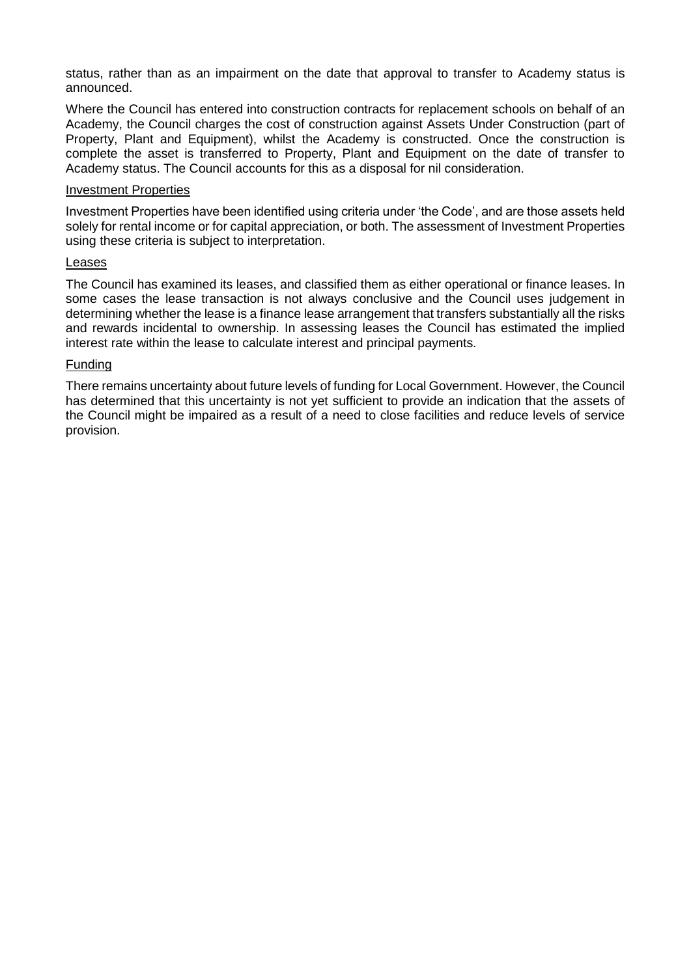status, rather than as an impairment on the date that approval to transfer to Academy status is announced.

Where the Council has entered into construction contracts for replacement schools on behalf of an Academy, the Council charges the cost of construction against Assets Under Construction (part of Property, Plant and Equipment), whilst the Academy is constructed. Once the construction is complete the asset is transferred to Property, Plant and Equipment on the date of transfer to Academy status. The Council accounts for this as a disposal for nil consideration.

#### Investment Properties

Investment Properties have been identified using criteria under 'the Code', and are those assets held solely for rental income or for capital appreciation, or both. The assessment of Investment Properties using these criteria is subject to interpretation.

#### Leases

The Council has examined its leases, and classified them as either operational or finance leases. In some cases the lease transaction is not always conclusive and the Council uses judgement in determining whether the lease is a finance lease arrangement that transfers substantially all the risks and rewards incidental to ownership. In assessing leases the Council has estimated the implied interest rate within the lease to calculate interest and principal payments.

#### Funding

There remains uncertainty about future levels of funding for Local Government. However, the Council has determined that this uncertainty is not yet sufficient to provide an indication that the assets of the Council might be impaired as a result of a need to close facilities and reduce levels of service provision.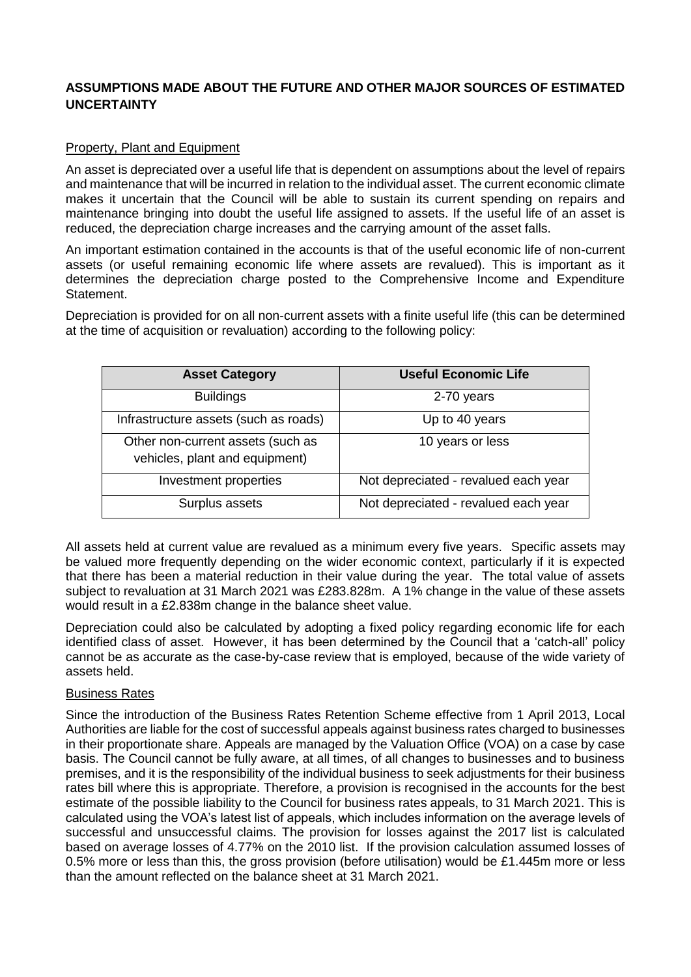# **ASSUMPTIONS MADE ABOUT THE FUTURE AND OTHER MAJOR SOURCES OF ESTIMATED UNCERTAINTY**

## Property, Plant and Equipment

An asset is depreciated over a useful life that is dependent on assumptions about the level of repairs and maintenance that will be incurred in relation to the individual asset. The current economic climate makes it uncertain that the Council will be able to sustain its current spending on repairs and maintenance bringing into doubt the useful life assigned to assets. If the useful life of an asset is reduced, the depreciation charge increases and the carrying amount of the asset falls.

An important estimation contained in the accounts is that of the useful economic life of non-current assets (or useful remaining economic life where assets are revalued). This is important as it determines the depreciation charge posted to the Comprehensive Income and Expenditure Statement.

Depreciation is provided for on all non-current assets with a finite useful life (this can be determined at the time of acquisition or revaluation) according to the following policy:

| <b>Asset Category</b>                                               | <b>Useful Economic Life</b>          |
|---------------------------------------------------------------------|--------------------------------------|
| <b>Buildings</b>                                                    | 2-70 years                           |
| Infrastructure assets (such as roads)                               | Up to 40 years                       |
| Other non-current assets (such as<br>vehicles, plant and equipment) | 10 years or less                     |
| Investment properties                                               | Not depreciated - revalued each year |
| Surplus assets                                                      | Not depreciated - revalued each year |

All assets held at current value are revalued as a minimum every five years. Specific assets may be valued more frequently depending on the wider economic context, particularly if it is expected that there has been a material reduction in their value during the year. The total value of assets subject to revaluation at 31 March 2021 was £283.828m. A 1% change in the value of these assets would result in a £2.838m change in the balance sheet value.

Depreciation could also be calculated by adopting a fixed policy regarding economic life for each identified class of asset. However, it has been determined by the Council that a 'catch-all' policy cannot be as accurate as the case-by-case review that is employed, because of the wide variety of assets held.

#### Business Rates

Since the introduction of the Business Rates Retention Scheme effective from 1 April 2013, Local Authorities are liable for the cost of successful appeals against business rates charged to businesses in their proportionate share. Appeals are managed by the Valuation Office (VOA) on a case by case basis. The Council cannot be fully aware, at all times, of all changes to businesses and to business premises, and it is the responsibility of the individual business to seek adjustments for their business rates bill where this is appropriate. Therefore, a provision is recognised in the accounts for the best estimate of the possible liability to the Council for business rates appeals, to 31 March 2021. This is calculated using the VOA's latest list of appeals, which includes information on the average levels of successful and unsuccessful claims. The provision for losses against the 2017 list is calculated based on average losses of 4.77% on the 2010 list. If the provision calculation assumed losses of 0.5% more or less than this, the gross provision (before utilisation) would be £1.445m more or less than the amount reflected on the balance sheet at 31 March 2021.